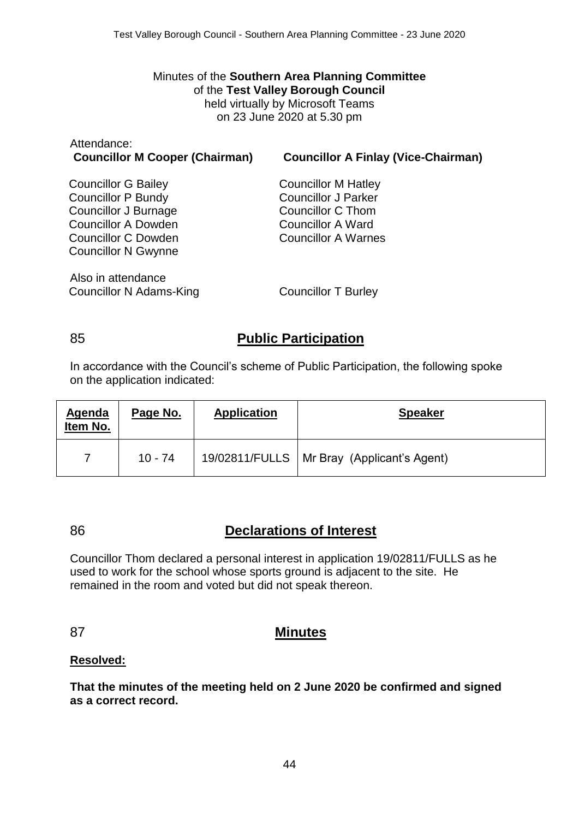#### Minutes of the **Southern Area Planning Committee** of the **Test Valley Borough Council** held virtually by Microsoft Teams on 23 June 2020 at 5.30 pm

| Attendance:<br><b>Councillor M Cooper (Chairman)</b> | <b>Councillor A Finlay (Vice-Chairman)</b> |
|------------------------------------------------------|--------------------------------------------|
| <b>Councillor G Bailey</b>                           | <b>Councillor M Hatley</b>                 |
| <b>Councillor P Bundy</b>                            | <b>Councillor J Parker</b>                 |
| Councillor J Burnage                                 | Councillor C Thom                          |
| <b>Councillor A Dowden</b>                           | <b>Councillor A Ward</b>                   |
| Councillor C Dowden                                  | <b>Councillor A Warnes</b>                 |
| <b>Councillor N Gwynne</b>                           |                                            |
| Also in attendance                                   |                                            |
| Councillor N Adams-King                              | <b>Councillor T Burley</b>                 |

## 85 **Public Participation**

In accordance with the Council's scheme of Public Participation, the following spoke on the application indicated:

| Agenda<br>Item No. | Page No.  | <b>Application</b> | <b>Speaker</b>                               |
|--------------------|-----------|--------------------|----------------------------------------------|
|                    | $10 - 74$ |                    | 19/02811/FULLS   Mr Bray (Applicant's Agent) |

## 86 **Declarations of Interest**

Councillor Thom declared a personal interest in application 19/02811/FULLS as he used to work for the school whose sports ground is adjacent to the site. He remained in the room and voted but did not speak thereon.

### 87 **Minutes**

#### **Resolved:**

**That the minutes of the meeting held on 2 June 2020 be confirmed and signed as a correct record.**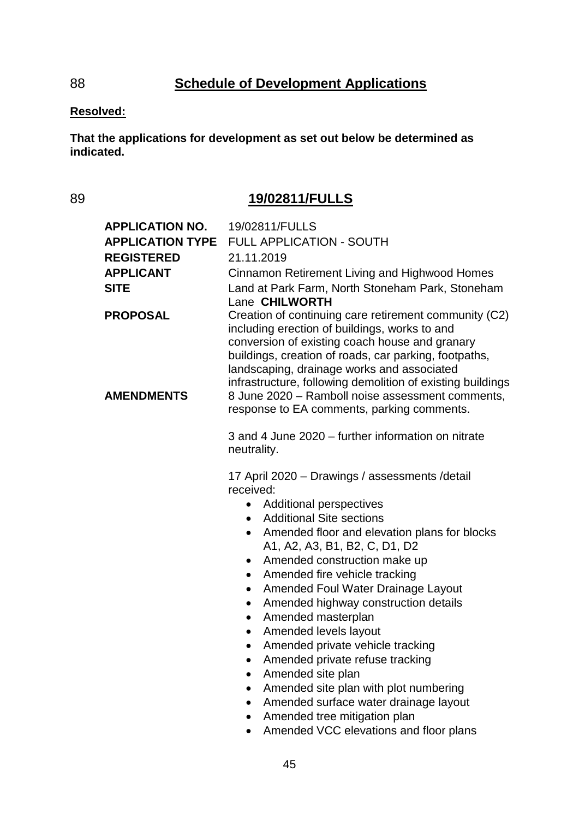# 88 **Schedule of Development Applications**

#### **Resolved:**

**That the applications for development as set out below be determined as indicated.**

## 89 **19/02811/FULLS**

| <b>APPLICATION NO.</b><br><b>APPLICATION TYPE</b><br><b>REGISTERED</b><br><b>APPLICANT</b><br><b>SITE</b> | 19/02811/FULLS<br><b>FULL APPLICATION - SOUTH</b><br>21.11.2019<br>Cinnamon Retirement Living and Highwood Homes<br>Land at Park Farm, North Stoneham Park, Stoneham<br>Lane CHILWORTH                                                                                                                                                                                                                                                                                                                                                                                                                                                                                                                      |
|-----------------------------------------------------------------------------------------------------------|-------------------------------------------------------------------------------------------------------------------------------------------------------------------------------------------------------------------------------------------------------------------------------------------------------------------------------------------------------------------------------------------------------------------------------------------------------------------------------------------------------------------------------------------------------------------------------------------------------------------------------------------------------------------------------------------------------------|
| <b>PROPOSAL</b>                                                                                           | Creation of continuing care retirement community (C2)<br>including erection of buildings, works to and<br>conversion of existing coach house and granary<br>buildings, creation of roads, car parking, footpaths,<br>landscaping, drainage works and associated<br>infrastructure, following demolition of existing buildings                                                                                                                                                                                                                                                                                                                                                                               |
| <b>AMENDMENTS</b>                                                                                         | 8 June 2020 - Ramboll noise assessment comments,<br>response to EA comments, parking comments.                                                                                                                                                                                                                                                                                                                                                                                                                                                                                                                                                                                                              |
|                                                                                                           | 3 and 4 June 2020 – further information on nitrate<br>neutrality.                                                                                                                                                                                                                                                                                                                                                                                                                                                                                                                                                                                                                                           |
|                                                                                                           | 17 April 2020 - Drawings / assessments / detail<br>received:<br><b>Additional perspectives</b><br>$\bullet$<br><b>Additional Site sections</b><br>$\bullet$<br>Amended floor and elevation plans for blocks<br>$\bullet$<br>A1, A2, A3, B1, B2, C, D1, D2<br>Amended construction make up<br>٠<br>Amended fire vehicle tracking<br>$\bullet$<br>Amended Foul Water Drainage Layout<br>٠<br>Amended highway construction details<br>٠<br>Amended masterplan<br>٠<br>Amended levels layout<br>Amended private vehicle tracking<br>٠<br>Amended private refuse tracking<br>Amended site plan<br>Amended site plan with plot numbering<br>Amended surface water drainage layout<br>Amended tree mitigation plan |

• Amended VCC elevations and floor plans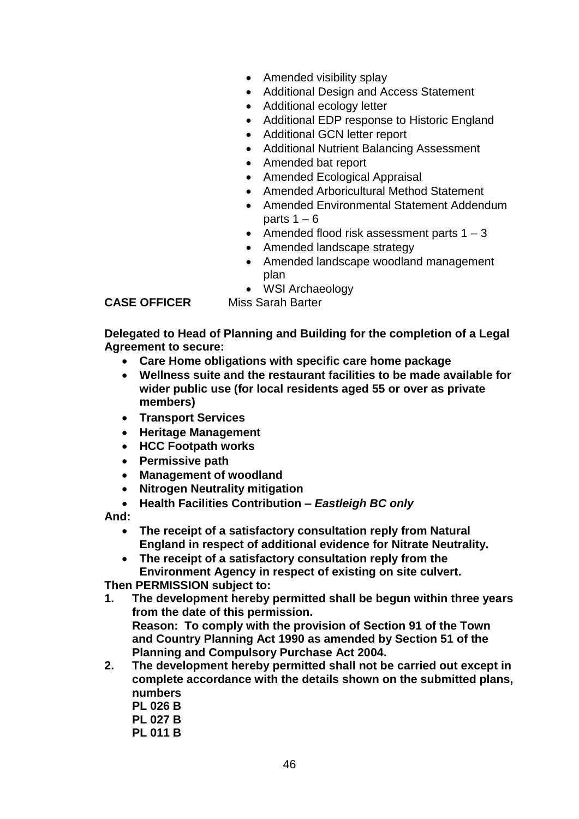- Amended visibility splay
- Additional Design and Access Statement
- Additional ecology letter
- Additional EDP response to Historic England
- Additional GCN letter report
- Additional Nutrient Balancing Assessment
- Amended bat report
- Amended Ecological Appraisal
- Amended Arboricultural Method Statement
- Amended Environmental Statement Addendum parts  $1 - 6$
- Amended flood risk assessment parts  $1 3$
- Amended landscape strategy
- Amended landscape woodland management plan
- WSI Archaeology

**CASE OFFICER** Miss Sarah Barter

**Delegated to Head of Planning and Building for the completion of a Legal Agreement to secure:** 

- **Care Home obligations with specific care home package**
- **Wellness suite and the restaurant facilities to be made available for wider public use (for local residents aged 55 or over as private members)**
- **Transport Services**
- **Heritage Management**
- **HCC Footpath works**
- **Permissive path**
- **Management of woodland**
- **Nitrogen Neutrality mitigation**
- **Health Facilities Contribution –** *Eastleigh BC only*

**And:**

- **The receipt of a satisfactory consultation reply from Natural England in respect of additional evidence for Nitrate Neutrality.**
- **The receipt of a satisfactory consultation reply from the Environment Agency in respect of existing on site culvert.**

**Then PERMISSION subject to:**

- **1. The development hereby permitted shall be begun within three years from the date of this permission. Reason: To comply with the provision of Section 91 of the Town and Country Planning Act 1990 as amended by Section 51 of the Planning and Compulsory Purchase Act 2004.**
- **2. The development hereby permitted shall not be carried out except in complete accordance with the details shown on the submitted plans, numbers** 
	- **PL 026 B**
	- **PL 027 B**
	- **PL 011 B**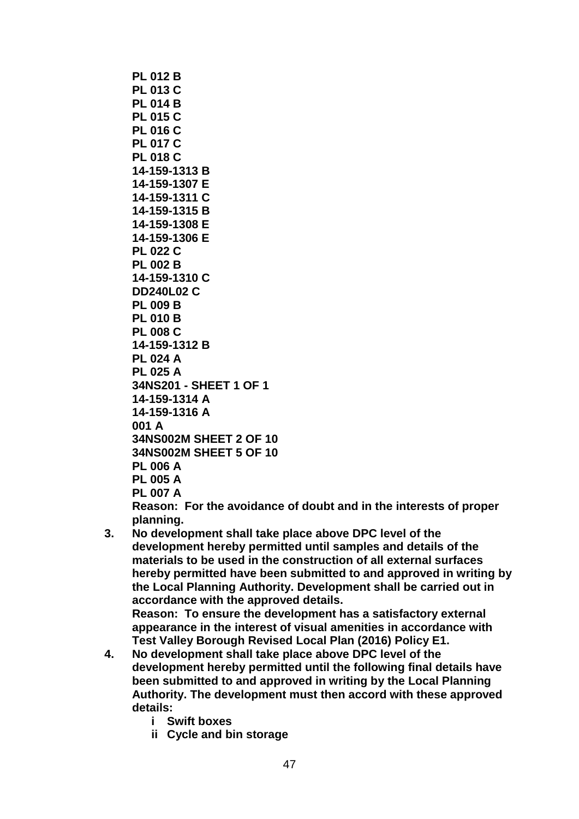**PL 012 B PL 013 C PL 014 B PL 015 C PL 016 C PL 017 C PL 018 C 14-159-1313 B 14-159-1307 E 14-159-1311 C 14-159-1315 B 14-159-1308 E 14-159-1306 E PL 022 C PL 002 B 14-159-1310 C DD240L02 C PL 009 B PL 010 B PL 008 C 14-159-1312 B PL 024 A PL 025 A 34NS201 - SHEET 1 OF 1 14-159-1314 A 14-159-1316 A 001 A 34NS002M SHEET 2 OF 10 34NS002M SHEET 5 OF 10 PL 006 A PL 005 A PL 007 A**

**Reason: For the avoidance of doubt and in the interests of proper planning.**

**3. No development shall take place above DPC level of the development hereby permitted until samples and details of the materials to be used in the construction of all external surfaces hereby permitted have been submitted to and approved in writing by the Local Planning Authority. Development shall be carried out in accordance with the approved details. Reason: To ensure the development has a satisfactory external** 

**appearance in the interest of visual amenities in accordance with Test Valley Borough Revised Local Plan (2016) Policy E1.**

- **4. No development shall take place above DPC level of the development hereby permitted until the following final details have been submitted to and approved in writing by the Local Planning Authority. The development must then accord with these approved details:**
	- **i Swift boxes**
	- **ii Cycle and bin storage**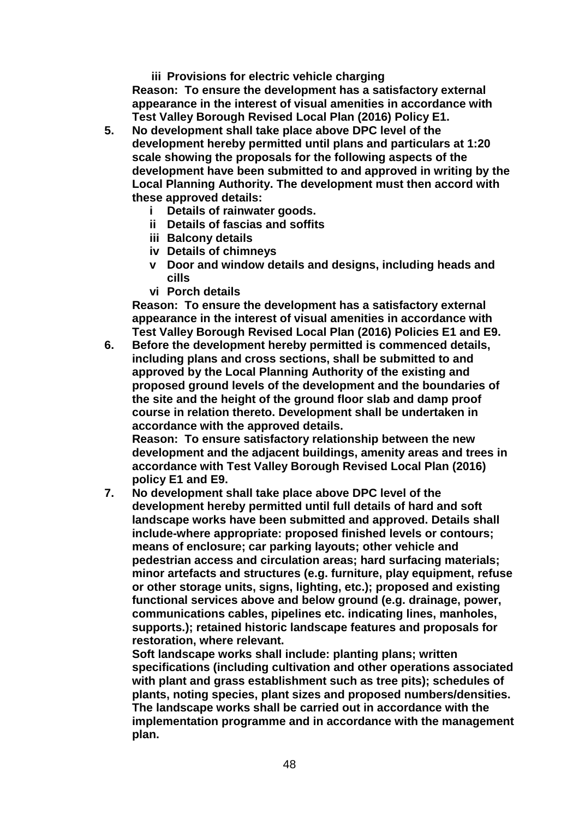**iii Provisions for electric vehicle charging Reason: To ensure the development has a satisfactory external appearance in the interest of visual amenities in accordance with Test Valley Borough Revised Local Plan (2016) Policy E1.**

- **5. No development shall take place above DPC level of the development hereby permitted until plans and particulars at 1:20 scale showing the proposals for the following aspects of the development have been submitted to and approved in writing by the Local Planning Authority. The development must then accord with these approved details:** 
	- **i Details of rainwater goods.**
	- **ii Details of fascias and soffits**
	- **iii Balcony details**
	- **iv Details of chimneys**
	- **v Door and window details and designs, including heads and cills**
	- **vi Porch details**

**Reason: To ensure the development has a satisfactory external appearance in the interest of visual amenities in accordance with Test Valley Borough Revised Local Plan (2016) Policies E1 and E9.**

**6. Before the development hereby permitted is commenced details, including plans and cross sections, shall be submitted to and approved by the Local Planning Authority of the existing and proposed ground levels of the development and the boundaries of the site and the height of the ground floor slab and damp proof course in relation thereto. Development shall be undertaken in accordance with the approved details.** 

**Reason: To ensure satisfactory relationship between the new development and the adjacent buildings, amenity areas and trees in accordance with Test Valley Borough Revised Local Plan (2016) policy E1 and E9.**

**7. No development shall take place above DPC level of the development hereby permitted until full details of hard and soft landscape works have been submitted and approved. Details shall include-where appropriate: proposed finished levels or contours; means of enclosure; car parking layouts; other vehicle and pedestrian access and circulation areas; hard surfacing materials; minor artefacts and structures (e.g. furniture, play equipment, refuse or other storage units, signs, lighting, etc.); proposed and existing functional services above and below ground (e.g. drainage, power, communications cables, pipelines etc. indicating lines, manholes, supports.); retained historic landscape features and proposals for restoration, where relevant.**

**Soft landscape works shall include: planting plans; written specifications (including cultivation and other operations associated with plant and grass establishment such as tree pits); schedules of plants, noting species, plant sizes and proposed numbers/densities. The landscape works shall be carried out in accordance with the implementation programme and in accordance with the management plan.**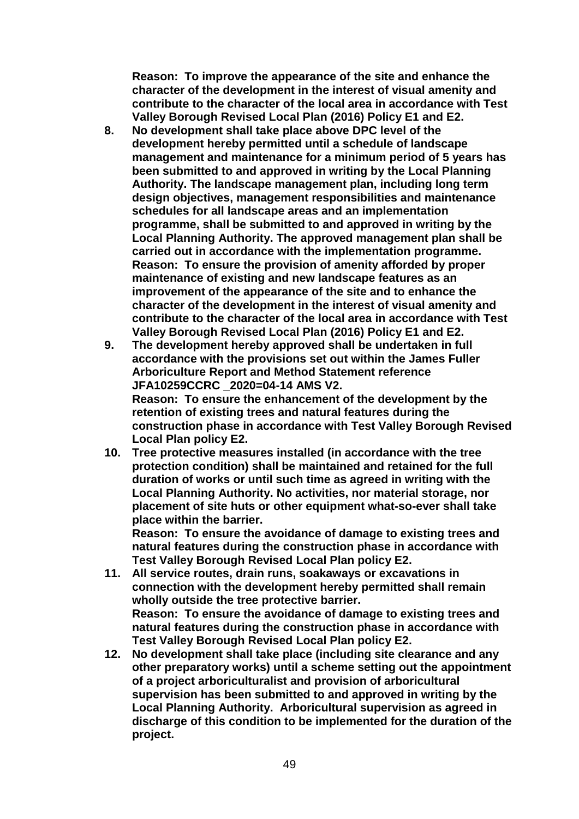**Reason: To improve the appearance of the site and enhance the character of the development in the interest of visual amenity and contribute to the character of the local area in accordance with Test Valley Borough Revised Local Plan (2016) Policy E1 and E2.**

- **8. No development shall take place above DPC level of the development hereby permitted until a schedule of landscape management and maintenance for a minimum period of 5 years has been submitted to and approved in writing by the Local Planning Authority. The landscape management plan, including long term design objectives, management responsibilities and maintenance schedules for all landscape areas and an implementation programme, shall be submitted to and approved in writing by the Local Planning Authority. The approved management plan shall be carried out in accordance with the implementation programme. Reason: To ensure the provision of amenity afforded by proper maintenance of existing and new landscape features as an improvement of the appearance of the site and to enhance the character of the development in the interest of visual amenity and contribute to the character of the local area in accordance with Test Valley Borough Revised Local Plan (2016) Policy E1 and E2.**
- **9. The development hereby approved shall be undertaken in full accordance with the provisions set out within the James Fuller Arboriculture Report and Method Statement reference JFA10259CCRC \_2020=04-14 AMS V2. Reason: To ensure the enhancement of the development by the retention of existing trees and natural features during the construction phase in accordance with Test Valley Borough Revised Local Plan policy E2.**
- **10. Tree protective measures installed (in accordance with the tree protection condition) shall be maintained and retained for the full duration of works or until such time as agreed in writing with the Local Planning Authority. No activities, nor material storage, nor placement of site huts or other equipment what-so-ever shall take place within the barrier.**

**Reason: To ensure the avoidance of damage to existing trees and natural features during the construction phase in accordance with Test Valley Borough Revised Local Plan policy E2.**

- **11. All service routes, drain runs, soakaways or excavations in connection with the development hereby permitted shall remain wholly outside the tree protective barrier. Reason: To ensure the avoidance of damage to existing trees and natural features during the construction phase in accordance with Test Valley Borough Revised Local Plan policy E2.**
- **12. No development shall take place (including site clearance and any other preparatory works) until a scheme setting out the appointment of a project arboriculturalist and provision of arboricultural supervision has been submitted to and approved in writing by the Local Planning Authority. Arboricultural supervision as agreed in discharge of this condition to be implemented for the duration of the project.**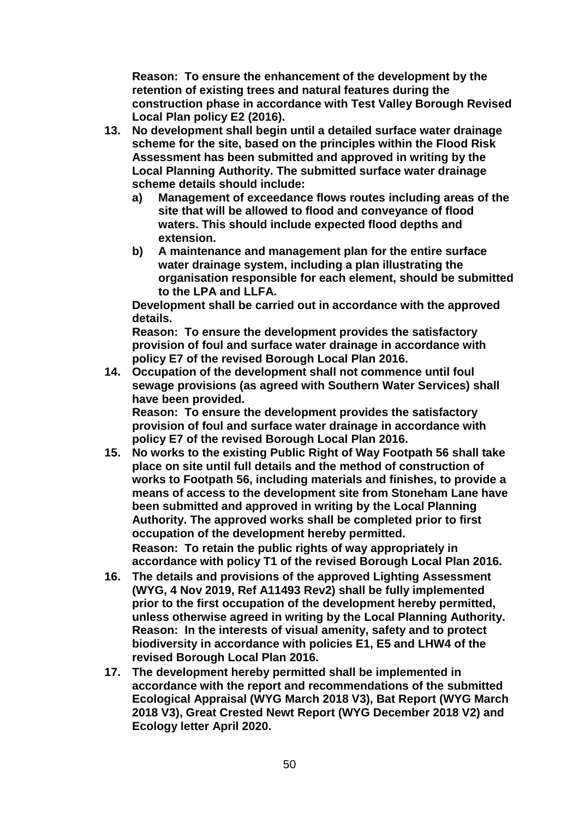**Reason: To ensure the enhancement of the development by the retention of existing trees and natural features during the construction phase in accordance with Test Valley Borough Revised Local Plan policy E2 (2016).**

- **13. No development shall begin until a detailed surface water drainage scheme for the site, based on the principles within the Flood Risk Assessment has been submitted and approved in writing by the Local Planning Authority. The submitted surface water drainage scheme details should include:**
	- **a) Management of exceedance flows routes including areas of the site that will be allowed to flood and conveyance of flood waters. This should include expected flood depths and extension.**
	- **b) A maintenance and management plan for the entire surface water drainage system, including a plan illustrating the organisation responsible for each element, should be submitted to the LPA and LLFA.**

**Development shall be carried out in accordance with the approved details.** 

**Reason: To ensure the development provides the satisfactory provision of foul and surface water drainage in accordance with policy E7 of the revised Borough Local Plan 2016.**

**14. Occupation of the development shall not commence until foul sewage provisions (as agreed with Southern Water Services) shall have been provided.**

**Reason: To ensure the development provides the satisfactory provision of foul and surface water drainage in accordance with policy E7 of the revised Borough Local Plan 2016.**

- **15. No works to the existing Public Right of Way Footpath 56 shall take place on site until full details and the method of construction of works to Footpath 56, including materials and finishes, to provide a means of access to the development site from Stoneham Lane have been submitted and approved in writing by the Local Planning Authority. The approved works shall be completed prior to first occupation of the development hereby permitted. Reason: To retain the public rights of way appropriately in accordance with policy T1 of the revised Borough Local Plan 2016.**
- **16. The details and provisions of the approved Lighting Assessment (WYG, 4 Nov 2019, Ref A11493 Rev2) shall be fully implemented prior to the first occupation of the development hereby permitted, unless otherwise agreed in writing by the Local Planning Authority. Reason: In the interests of visual amenity, safety and to protect biodiversity in accordance with policies E1, E5 and LHW4 of the revised Borough Local Plan 2016.**
- **17. The development hereby permitted shall be implemented in accordance with the report and recommendations of the submitted Ecological Appraisal (WYG March 2018 V3), Bat Report (WYG March 2018 V3), Great Crested Newt Report (WYG December 2018 V2) and Ecology letter April 2020.**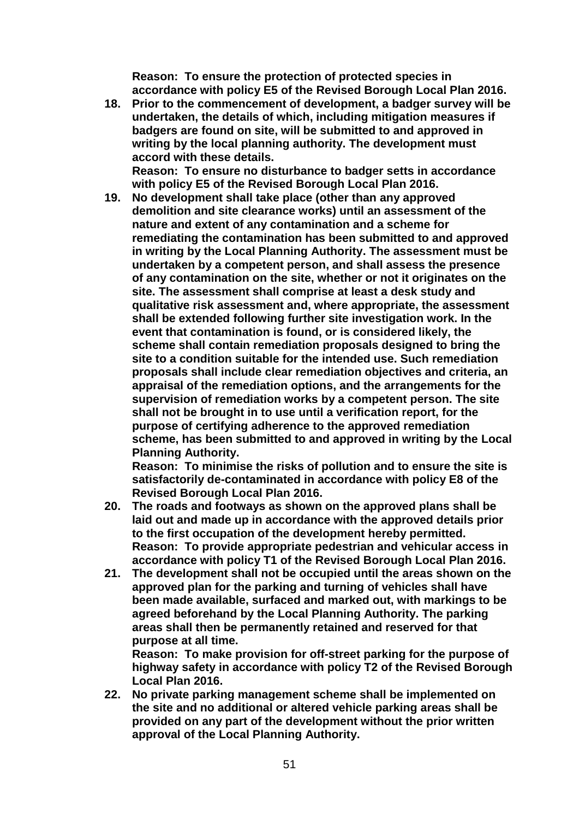**Reason: To ensure the protection of protected species in accordance with policy E5 of the Revised Borough Local Plan 2016.**

**18. Prior to the commencement of development, a badger survey will be undertaken, the details of which, including mitigation measures if badgers are found on site, will be submitted to and approved in writing by the local planning authority. The development must accord with these details.**

**Reason: To ensure no disturbance to badger setts in accordance with policy E5 of the Revised Borough Local Plan 2016.**

**19. No development shall take place (other than any approved demolition and site clearance works) until an assessment of the nature and extent of any contamination and a scheme for remediating the contamination has been submitted to and approved in writing by the Local Planning Authority. The assessment must be undertaken by a competent person, and shall assess the presence of any contamination on the site, whether or not it originates on the site. The assessment shall comprise at least a desk study and qualitative risk assessment and, where appropriate, the assessment shall be extended following further site investigation work. In the event that contamination is found, or is considered likely, the scheme shall contain remediation proposals designed to bring the site to a condition suitable for the intended use. Such remediation proposals shall include clear remediation objectives and criteria, an appraisal of the remediation options, and the arrangements for the supervision of remediation works by a competent person. The site shall not be brought in to use until a verification report, for the purpose of certifying adherence to the approved remediation scheme, has been submitted to and approved in writing by the Local Planning Authority.**

**Reason: To minimise the risks of pollution and to ensure the site is satisfactorily de-contaminated in accordance with policy E8 of the Revised Borough Local Plan 2016.**

- **20. The roads and footways as shown on the approved plans shall be laid out and made up in accordance with the approved details prior to the first occupation of the development hereby permitted. Reason: To provide appropriate pedestrian and vehicular access in accordance with policy T1 of the Revised Borough Local Plan 2016.**
- **21. The development shall not be occupied until the areas shown on the approved plan for the parking and turning of vehicles shall have been made available, surfaced and marked out, with markings to be agreed beforehand by the Local Planning Authority. The parking areas shall then be permanently retained and reserved for that purpose at all time.**

**Reason: To make provision for off-street parking for the purpose of highway safety in accordance with policy T2 of the Revised Borough Local Plan 2016.**

**22. No private parking management scheme shall be implemented on the site and no additional or altered vehicle parking areas shall be provided on any part of the development without the prior written approval of the Local Planning Authority.**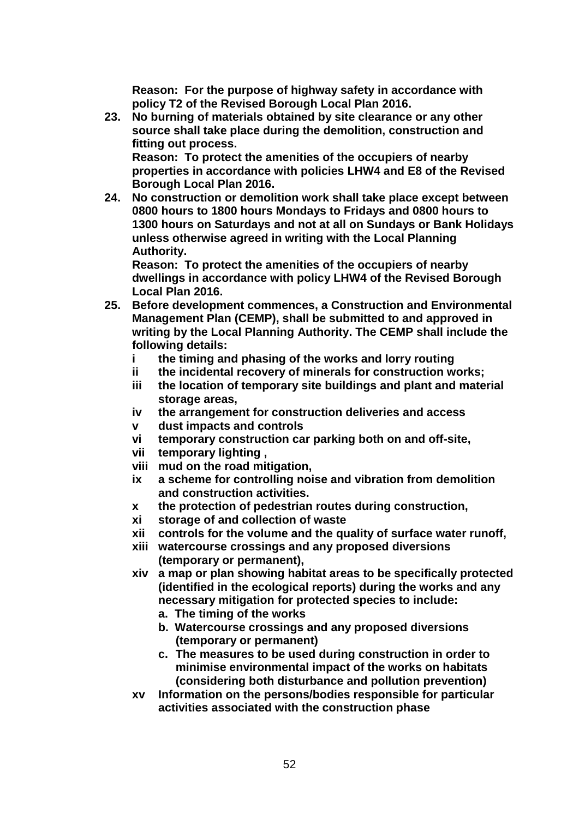**Reason: For the purpose of highway safety in accordance with policy T2 of the Revised Borough Local Plan 2016.**

**23. No burning of materials obtained by site clearance or any other source shall take place during the demolition, construction and fitting out process. Reason: To protect the amenities of the occupiers of nearby** 

**properties in accordance with policies LHW4 and E8 of the Revised Borough Local Plan 2016.**

**24. No construction or demolition work shall take place except between 0800 hours to 1800 hours Mondays to Fridays and 0800 hours to 1300 hours on Saturdays and not at all on Sundays or Bank Holidays unless otherwise agreed in writing with the Local Planning Authority.**

**Reason: To protect the amenities of the occupiers of nearby dwellings in accordance with policy LHW4 of the Revised Borough Local Plan 2016.**

- **25. Before development commences, a Construction and Environmental Management Plan (CEMP), shall be submitted to and approved in writing by the Local Planning Authority. The CEMP shall include the following details:** 
	- **i the timing and phasing of the works and lorry routing**
	- **ii the incidental recovery of minerals for construction works;**
	- **iii the location of temporary site buildings and plant and material storage areas,**
	- **iv the arrangement for construction deliveries and access**
	- **v dust impacts and controls**
	- **vi temporary construction car parking both on and off-site,**
	- **vii temporary lighting ,**
	- **viii mud on the road mitigation,**
	- **ix a scheme for controlling noise and vibration from demolition and construction activities.**
	- **x the protection of pedestrian routes during construction,**
	- **xi storage of and collection of waste**
	- **xii controls for the volume and the quality of surface water runoff,**
	- **xiii watercourse crossings and any proposed diversions (temporary or permanent),**
	- **xiv a map or plan showing habitat areas to be specifically protected (identified in the ecological reports) during the works and any necessary mitigation for protected species to include:** 
		- **a. The timing of the works**
		- **b. Watercourse crossings and any proposed diversions (temporary or permanent)**
		- **c. The measures to be used during construction in order to minimise environmental impact of the works on habitats (considering both disturbance and pollution prevention)**
	- **xv Information on the persons/bodies responsible for particular activities associated with the construction phase**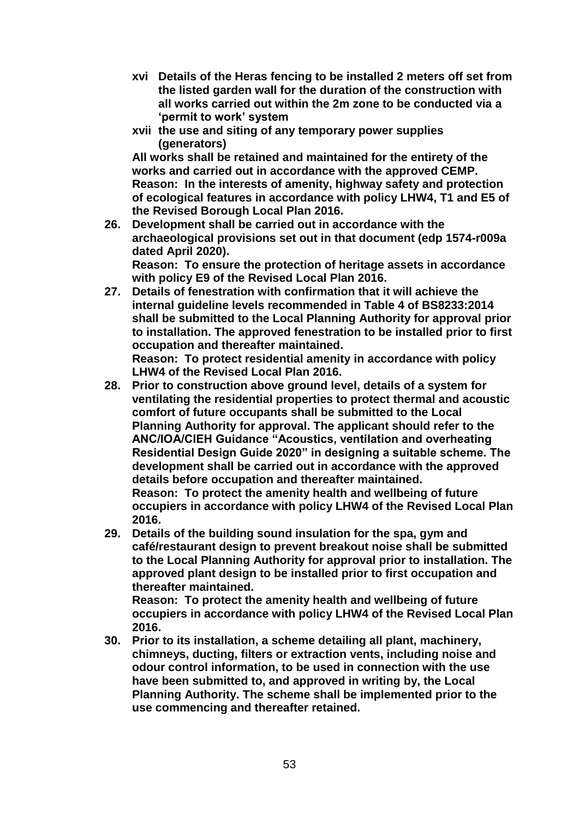- **xvi Details of the Heras fencing to be installed 2 meters off set from the listed garden wall for the duration of the construction with all works carried out within the 2m zone to be conducted via a 'permit to work' system**
- **xvii the use and siting of any temporary power supplies (generators)**

**All works shall be retained and maintained for the entirety of the works and carried out in accordance with the approved CEMP. Reason: In the interests of amenity, highway safety and protection of ecological features in accordance with policy LHW4, T1 and E5 of the Revised Borough Local Plan 2016.**

**26. Development shall be carried out in accordance with the archaeological provisions set out in that document (edp 1574-r009a dated April 2020).**

**Reason: To ensure the protection of heritage assets in accordance with policy E9 of the Revised Local Plan 2016.**

- **27. Details of fenestration with confirmation that it will achieve the internal guideline levels recommended in Table 4 of BS8233:2014 shall be submitted to the Local Planning Authority for approval prior to installation. The approved fenestration to be installed prior to first occupation and thereafter maintained. Reason: To protect residential amenity in accordance with policy LHW4 of the Revised Local Plan 2016.**
- **28. Prior to construction above ground level, details of a system for ventilating the residential properties to protect thermal and acoustic comfort of future occupants shall be submitted to the Local Planning Authority for approval. The applicant should refer to the ANC/IOA/CIEH Guidance "Acoustics, ventilation and overheating Residential Design Guide 2020" in designing a suitable scheme. The development shall be carried out in accordance with the approved details before occupation and thereafter maintained. Reason: To protect the amenity health and wellbeing of future occupiers in accordance with policy LHW4 of the Revised Local Plan**

**2016.**

**29. Details of the building sound insulation for the spa, gym and café/restaurant design to prevent breakout noise shall be submitted to the Local Planning Authority for approval prior to installation. The approved plant design to be installed prior to first occupation and thereafter maintained.** 

**Reason: To protect the amenity health and wellbeing of future occupiers in accordance with policy LHW4 of the Revised Local Plan 2016.**

**30. Prior to its installation, a scheme detailing all plant, machinery, chimneys, ducting, filters or extraction vents, including noise and odour control information, to be used in connection with the use have been submitted to, and approved in writing by, the Local Planning Authority. The scheme shall be implemented prior to the use commencing and thereafter retained.**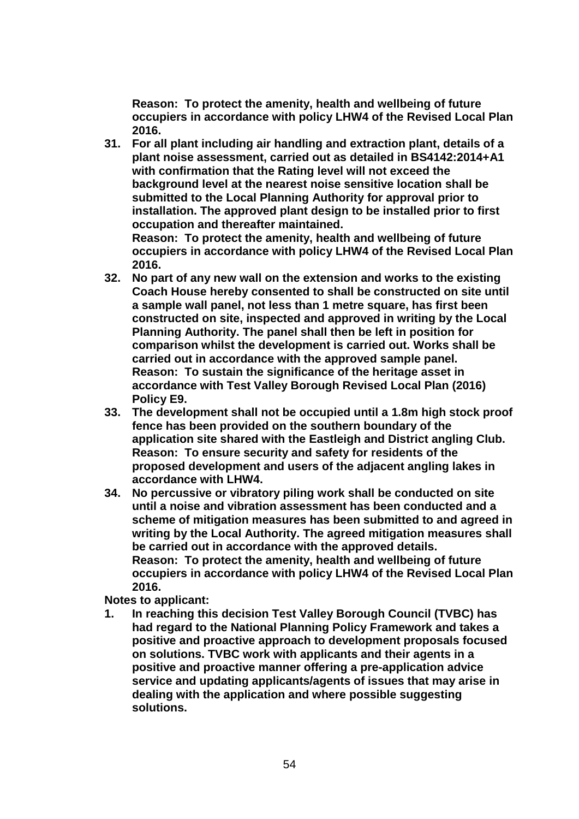**Reason: To protect the amenity, health and wellbeing of future occupiers in accordance with policy LHW4 of the Revised Local Plan 2016.**

- **31. For all plant including air handling and extraction plant, details of a plant noise assessment, carried out as detailed in BS4142:2014+A1 with confirmation that the Rating level will not exceed the background level at the nearest noise sensitive location shall be submitted to the Local Planning Authority for approval prior to installation. The approved plant design to be installed prior to first occupation and thereafter maintained. Reason: To protect the amenity, health and wellbeing of future occupiers in accordance with policy LHW4 of the Revised Local Plan** 
	- **2016.**
- **32. No part of any new wall on the extension and works to the existing Coach House hereby consented to shall be constructed on site until a sample wall panel, not less than 1 metre square, has first been constructed on site, inspected and approved in writing by the Local Planning Authority. The panel shall then be left in position for comparison whilst the development is carried out. Works shall be carried out in accordance with the approved sample panel. Reason: To sustain the significance of the heritage asset in accordance with Test Valley Borough Revised Local Plan (2016) Policy E9.**
- **33. The development shall not be occupied until a 1.8m high stock proof fence has been provided on the southern boundary of the application site shared with the Eastleigh and District angling Club. Reason: To ensure security and safety for residents of the proposed development and users of the adjacent angling lakes in accordance with LHW4.**
- **34. No percussive or vibratory piling work shall be conducted on site until a noise and vibration assessment has been conducted and a scheme of mitigation measures has been submitted to and agreed in writing by the Local Authority. The agreed mitigation measures shall be carried out in accordance with the approved details. Reason: To protect the amenity, health and wellbeing of future occupiers in accordance with policy LHW4 of the Revised Local Plan 2016.**

**Notes to applicant:**

**1. In reaching this decision Test Valley Borough Council (TVBC) has had regard to the National Planning Policy Framework and takes a positive and proactive approach to development proposals focused on solutions. TVBC work with applicants and their agents in a positive and proactive manner offering a pre-application advice service and updating applicants/agents of issues that may arise in dealing with the application and where possible suggesting solutions.**